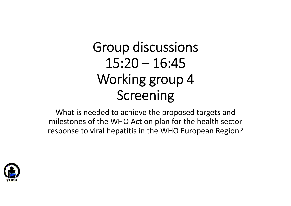# Group discussions  $15:20 - 16:45$ Working group 4 Screening

What is needed to achieve the proposed targets and milestones of the WHO Action plan for the health sector response to viral hepatitis in the WHO European Region?

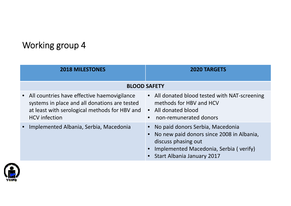# Working group 4

| <b>2018 MILESTONES</b>                                                                                                                                                  | <b>2020 TARGETS</b>                                                                                                                                                          |
|-------------------------------------------------------------------------------------------------------------------------------------------------------------------------|------------------------------------------------------------------------------------------------------------------------------------------------------------------------------|
| <b>BLOOD SAFETY</b>                                                                                                                                                     |                                                                                                                                                                              |
| • All countries have effective haemovigilance<br>systems in place and all donations are tested<br>at least with serological methods for HBV and<br><b>HCV</b> infection | • All donated blood tested with NAT-screening<br>methods for HBV and HCV<br>• All donated blood<br>non-remunerated donors                                                    |
| • Implemented Albania, Serbia, Macedonia                                                                                                                                | No paid donors Serbia, Macedonia<br>No new paid donors since 2008 in Albania,<br>discuss phasing out<br>Implemented Macedonia, Serbia (verify)<br>Start Albania January 2017 |

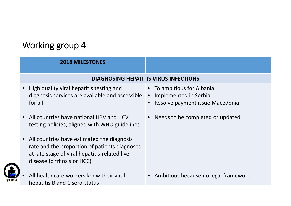## Working group 4

#### **2018 MILESTONES**

#### **DIAGNOSING HEPATITIS VIRUS INFECTIONS**

- • High quality viral hepatitis testing and diagnosis services are available and accessible for all
- • All countries have national HBV and HCV testing policies, aligned with WHO guidelines
- • All countries have estimated the diagnosis rate and the proportion of patients diagnosed at late stage of viral hepatitis‐related liver disease (cirrhosis or HCC)



•

 All health care workers know their viral hepatitis B and C sero‐status

- To ambitious for Albania
- $\bullet$ Implemented in Serbia
- •**•** Resolve payment issue Macedonia
- Needs to be completed or updated

• Ambitious because no legal framework